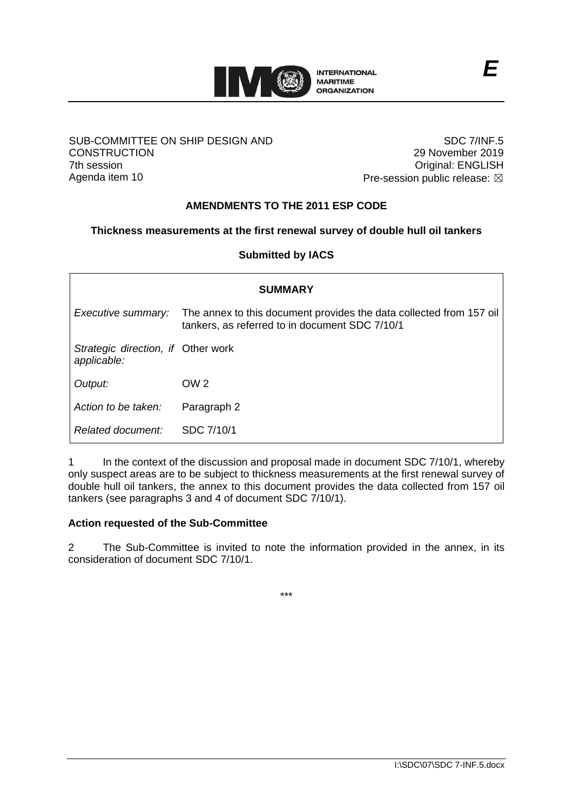

### SUB-COMMITTEE ON SHIP DESIGN AND **CONSTRUCTION** 7th session Agenda item 10

SDC 7/INF.5 29 November 2019 Original: ENGLISH Pre-session public release:  $\boxtimes$ 

# **AMENDMENTS TO THE 2011 ESP CODE**

### **Thickness measurements at the first renewal survey of double hull oil tankers**

### **Submitted by IACS**

| <b>SUMMARY</b>                                    |                                                                                                                       |  |  |  |  |  |  |
|---------------------------------------------------|-----------------------------------------------------------------------------------------------------------------------|--|--|--|--|--|--|
| Executive summary:                                | The annex to this document provides the data collected from 157 oil<br>tankers, as referred to in document SDC 7/10/1 |  |  |  |  |  |  |
| Strategic direction, if Other work<br>applicable: |                                                                                                                       |  |  |  |  |  |  |
| Output:                                           | OW <sub>2</sub>                                                                                                       |  |  |  |  |  |  |
| Action to be taken:                               | Paragraph 2                                                                                                           |  |  |  |  |  |  |
| Related document:                                 | SDC 7/10/1                                                                                                            |  |  |  |  |  |  |

1 In the context of the discussion and proposal made in document SDC 7/10/1, whereby only suspect areas are to be subject to thickness measurements at the first renewal survey of double hull oil tankers, the annex to this document provides the data collected from 157 oil tankers (see paragraphs 3 and 4 of document SDC 7/10/1).

### **Action requested of the Sub-Committee**

2 The Sub-Committee is invited to note the information provided in the annex, in its consideration of document SDC 7/10/1.

\*\*\*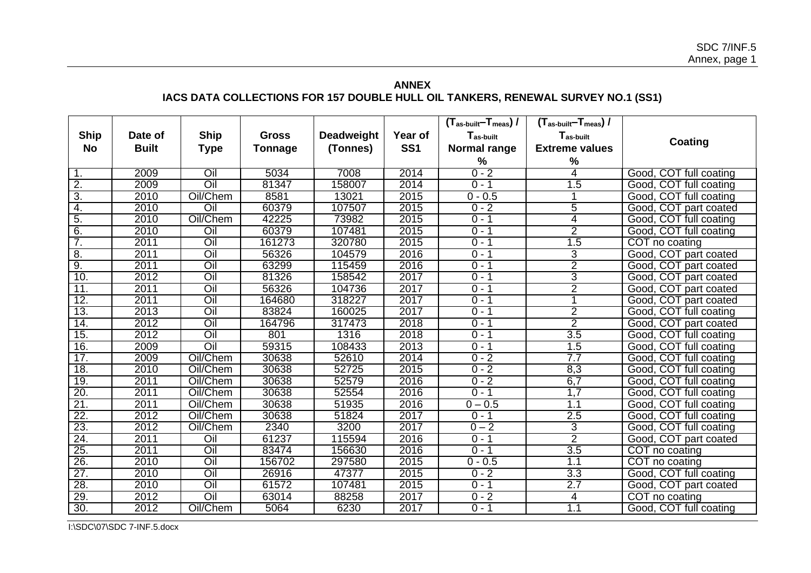# **ANNEX IACS DATA COLLECTIONS FOR 157 DOUBLE HULL OIL TANKERS, RENEWAL SURVEY NO.1 (SS1)**

|                  |              |             |                |                   |                 | $(T_{\text{as-built}} - T_{\text{meas}})$ / | $(T_{\text{as-built}} - T_{\text{meas}})$ / |                        |
|------------------|--------------|-------------|----------------|-------------------|-----------------|---------------------------------------------|---------------------------------------------|------------------------|
| <b>Ship</b>      | Date of      | <b>Ship</b> | <b>Gross</b>   | <b>Deadweight</b> | Year of         | $T_{as \text{-}built}$                      | T <sub>as-built</sub>                       |                        |
| <b>No</b>        | <b>Built</b> | <b>Type</b> | <b>Tonnage</b> | (Tonnes)          | SS <sub>1</sub> | Normal range                                | <b>Extreme values</b>                       | Coating                |
|                  |              |             |                |                   |                 | %                                           | $\%$                                        |                        |
| 1.               | 2009         | Oil         | 5034           | 7008              | 2014            | $0 - 2$                                     | 4                                           | Good, COT full coating |
| $\overline{2}$ . | 2009         | Oil         | 81347          | 158007            | 2014            | $0 - 1$                                     | 1.5                                         | Good, COT full coating |
| $\overline{3}$ . | 2010         | Oil/Chem    | 8581           | 13021             | 2015            | $0 - 0.5$                                   |                                             | Good, COT full coating |
| 4.               | 2010         | Oil         | 60379          | 107507            | 2015            | $0 - 2$                                     | 5                                           | Good, COT part coated  |
| 5.               | 2010         | Oil/Chem    | 42225          | 73982             | 2015            | $0 - 1$                                     | 4                                           | Good, COT full coating |
| 6.               | 2010         | Oil         | 60379          | 107481            | 2015            | $0 - 1$                                     | $\overline{2}$                              | Good, COT full coating |
| 7.               | 2011         | Oil         | 161273         | 320780            | 2015            | $0 - 1$                                     | 1.5                                         | COT no coating         |
| 8.               | 2011         | Oil         | 56326          | 104579            | 2016            | $0 - 1$                                     | 3                                           | Good, COT part coated  |
| 9.               | 2011         | Oil         | 63299          | 115459            | 2016            | $0 - 1$                                     | $\overline{2}$                              | Good, COT part coated  |
| 10.              | 2012         | Oil         | 81326          | 158542            | 2017            | $0 - 1$                                     | $\overline{3}$                              | Good, COT part coated  |
| 11.              | 2011         | Oil         | 56326          | 104736            | 2017            | $0 - 1$                                     | $\overline{2}$                              | Good, COT part coated  |
| 12.              | 2011         | Oil         | 164680         | 318227            | 2017            | $0 - 1$                                     |                                             | Good, COT part coated  |
| 13.              | 2013         | Oil         | 83824          | 160025            | 2017            | $0 - 1$                                     | $\overline{2}$                              | Good, COT full coating |
| 14.              | 2012         | Oil         | 164796         | 317473            | 2018            | $0 - 1$                                     | $\overline{2}$                              | Good, COT part coated  |
| 15.              | 2012         | Oil         | 801            | 1316              | 2018            | $0 - 1$                                     | 3.5                                         | Good, COT full coating |
| 16.              | 2009         | Oil         | 59315          | 108433            | 2013            | $0 - 1$                                     | 1.5                                         | Good, COT full coating |
| 17.              | 2009         | Oil/Chem    | 30638          | 52610             | 2014            | $0 - 2$                                     | 7.7                                         | Good, COT full coating |
| 18.              | 2010         | Oil/Chem    | 30638          | 52725             | 2015            | $0 - 2$                                     | 8,3                                         | Good, COT full coating |
| 19.              | 2011         | Oil/Chem    | 30638          | 52579             | 2016            | $0 - 2$                                     | 6,7                                         | Good, COT full coating |
| 20.              | 2011         | Oil/Chem    | 30638          | 52554             | 2016            | $0 - 1$                                     | 1,7                                         | Good, COT full coating |
| 21.              | 2011         | Oil/Chem    | 30638          | 51935             | 2016            | $0 - 0.5$                                   | 1.1                                         | Good, COT full coating |
| 22.              | 2012         | Oil/Chem    | 30638          | 51824             | 2017            | $0 - 1$                                     | 2.5                                         | Good, COT full coating |
| 23.              | 2012         | Oil/Chem    | 2340           | 3200              | 2017            | $0 - 2$                                     | 3                                           | Good, COT full coating |
| 24.              | 2011         | Oil         | 61237          | 115594            | 2016            | $0 - 1$                                     | $\overline{2}$                              | Good, COT part coated  |
| 25.              | 2011         | Oil         | 83474          | 156630            | 2016            | $0 - 1$                                     | 3.5                                         | COT no coating         |
| 26.              | 2010         | Oil         | 156702         | 297580            | 2015            | $0 - 0.5$                                   | 1.1                                         | COT no coating         |
| 27.              | 2010         | Oil         | 26916          | 47377             | 2015            | $0 - 2$                                     | 3.3                                         | Good, COT full coating |
| 28.              | 2010         | Oil         | 61572          | 107481            | 2015            | $0 - 1$                                     | 2.7                                         | Good, COT part coated  |
| 29.              | 2012         | Oil         | 63014          | 88258             | 2017            | $0 - 2$                                     | 4                                           | COT no coating         |
| 30.              | 2012         | Oil/Chem    | 5064           | 6230              | 2017            | $0 - 1$                                     | 1.1                                         | Good, COT full coating |

I:\SDC\07\SDC 7-INF.5.docx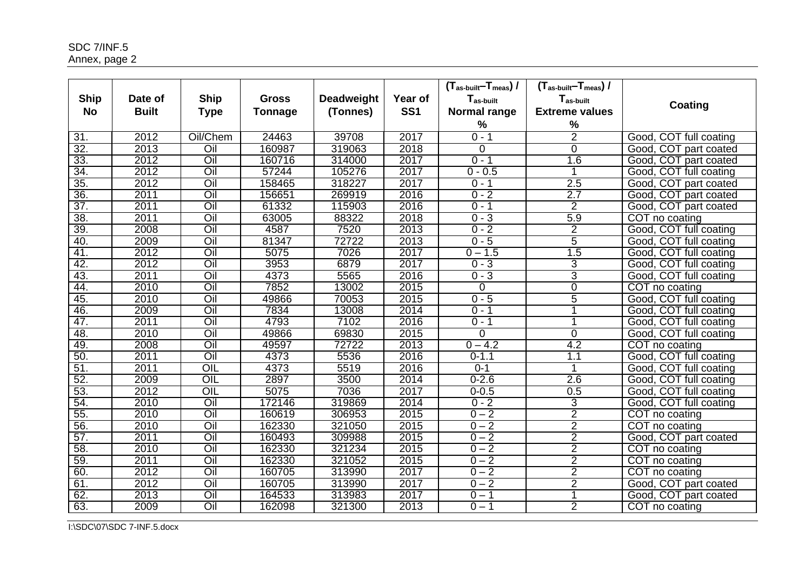| <b>Ship</b> | Date of      | <b>Ship</b>       | <b>Gross</b>   | <b>Deadweight</b> | Year of         | $(T_{as \text{-}built}$ - $T_{meas})/$<br>T <sub>as-built</sub> | $(T_{\text{as-built}} - T_{\text{meas}})$ /<br>T <sub>as-built</sub> | Coating                |
|-------------|--------------|-------------------|----------------|-------------------|-----------------|-----------------------------------------------------------------|----------------------------------------------------------------------|------------------------|
| <b>No</b>   | <b>Built</b> | <b>Type</b>       | <b>Tonnage</b> | (Tonnes)          | SS <sub>1</sub> | Normal range                                                    | <b>Extreme values</b>                                                |                        |
|             |              |                   |                |                   |                 | $\frac{0}{0}$                                                   | $\%$                                                                 |                        |
| 31.         | 2012         | Oil/Chem          | 24463          | 39708             | 2017            | $0 - 1$                                                         | $\overline{2}$                                                       | Good, COT full coating |
| 32.         | 2013         | Oil               | 160987         | 319063            | 2018            | $\Omega$                                                        | $\Omega$                                                             | Good, COT part coated  |
| 33.         | 2012         | Oil               | 160716         | 314000            | 2017            | $0 - 1$                                                         | 1.6                                                                  | Good, COT part coated  |
| 34.         | 2012         | Oil               | 57244          | 105276            | 2017            | $0 - 0.5$                                                       | 1                                                                    | Good, COT full coating |
| 35.         | 2012         | Oil               | 158465         | 318227            | 2017            | $0 - 1$                                                         | 2.5                                                                  | Good, COT part coated  |
| 36.         | 2011         | Oil               | 156651         | 269919            | 2016            | $0 - 2$                                                         | 2.7                                                                  | Good, COT part coated  |
| 37.         | 2011         | Oil               | 61332          | 115903            | 2016            | $0 - 1$                                                         | $\overline{2}$                                                       | Good, COT part coated  |
| 38.         | 2011         | Oil               | 63005          | 88322             | 2018            | $0 - 3$                                                         | 5.9                                                                  | COT no coating         |
| 39.         | 2008         | Oil               | 4587           | 7520              | 2013            | $0 - 2$                                                         | $\overline{2}$                                                       | Good, COT full coating |
| 40.         | 2009         | Oil               | 81347          | 72722             | 2013            | $0 - 5$                                                         | $\overline{5}$                                                       | Good, COT full coating |
| 41.         | 2012         | Oil               | 5075           | 7026              | 2017            | $0 - 1.5$                                                       | 1.5                                                                  | Good, COT full coating |
| 42.         | 2012         | Oil               | 3953           | 6879              | 2017            | $0 - 3$                                                         | 3                                                                    | Good, COT full coating |
| 43.         | 2011         | Oil               | 4373           | 5565              | 2016            | $0 - 3$                                                         | 3                                                                    | Good, COT full coating |
| 44.         | 2010         | Oil               | 7852           | 13002             | 2015            | $\overline{0}$                                                  | $\overline{0}$                                                       | COT no coating         |
| 45.         | 2010         | Oil               | 49866          | 70053             | 2015            | $0 - 5$                                                         | $\overline{5}$                                                       | Good, COT full coating |
| 46.         | 2009         | Oil               | 7834           | 13008             | 2014            | $0 - 1$                                                         | 1                                                                    | Good, COT full coating |
| 47.         | 2011         | Oil               | 4793           | 7102              | 2016            | $0 - 1$                                                         | 1                                                                    | Good, COT full coating |
| 48.         | 2010         | Oil               | 49866          | 69830             | 2015            | 0                                                               | $\Omega$                                                             | Good, COT full coating |
| 49.         | 2008         | Oil               | 49597          | 72722             | 2013            | $0 - 4.2$                                                       | 4.2                                                                  | COT no coating         |
| 50.         | 2011         | Oil               | 4373           | 5536              | 2016            | $0 - 1.1$                                                       | 1.1                                                                  | Good, COT full coating |
| 51.         | 2011         | OIL               | 4373           | 5519              | 2016            | $0 - 1$                                                         | $\mathbf 1$                                                          | Good, COT full coating |
| 52.         | 2009         | $\overline{OIL}$  | 2897           | 3500              | 2014            | $0 - 2.6$                                                       | 2.6                                                                  | Good, COT full coating |
| 53.         | 2012         | OIL               | 5075           | 7036              | 2017            | $0 - 0.5$                                                       | 0.5                                                                  | Good, COT full coating |
| 54.         | 2010         | $\overline{O}$ il | 172146         | 319869            | 2014            | $0 - 2$                                                         | 3                                                                    | Good, COT full coating |
| 55.         | 2010         | $\overline{O}$ il | 160619         | 306953            | 2015            | $0 - 2$                                                         | $\overline{2}$                                                       | COT no coating         |
| 56.         | 2010         | $\overline{O}$ il | 162330         | 321050            | 2015            | $0 - 2$                                                         | $\overline{2}$                                                       | COT no coating         |
| 57.         | 2011         | Oil               | 160493         | 309988            | 2015            | $0 - 2$                                                         | $\overline{2}$                                                       | Good, COT part coated  |
| 58.         | 2010         | Oil               | 162330         | 321234            | 2015            | $0 - 2$                                                         | $\overline{2}$                                                       | COT no coating         |
| 59.         | 2011         | Oil               | 162330         | 321052            | 2015            | $0 - 2$                                                         | $\overline{2}$                                                       | COT no coating         |
| 60.         | 2012         | Oil               | 160705         | 313990            | 2017            | $0 - 2$                                                         | $\overline{2}$                                                       | COT no coating         |
| 61.         | 2012         | Oil               | 160705         | 313990            | 2017            | $0 - 2$                                                         | $\overline{2}$                                                       | Good, COT part coated  |
| 62.         | 2013         | Oil               | 164533         | 313983            | 2017            | $0 - 1$                                                         |                                                                      | Good, COT part coated  |
| 63.         | 2009         | Oil               | 162098         | 321300            | 2013            | $\overline{0}$ – 1                                              | $\overline{2}$                                                       | COT no coating         |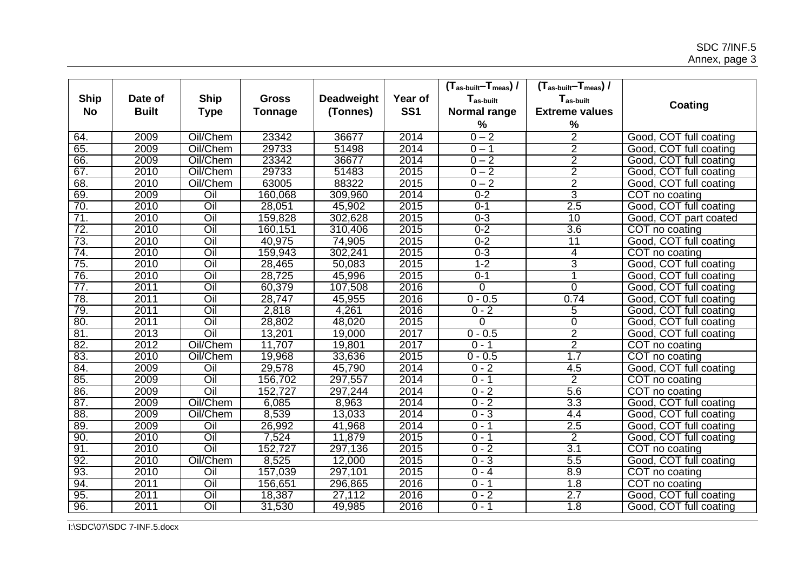| <b>Ship</b> | Date of      | <b>Ship</b>       | <b>Gross</b>   | <b>Deadweight</b> | Year of         | $(T_{\text{as-built}} - T_{\text{meas}})$ /<br>T <sub>as-built</sub> | $(T_{\text{as-built}} - T_{\text{meas}})$ /<br>T <sub>as-built</sub> |                        |
|-------------|--------------|-------------------|----------------|-------------------|-----------------|----------------------------------------------------------------------|----------------------------------------------------------------------|------------------------|
| <b>No</b>   | <b>Built</b> | <b>Type</b>       | <b>Tonnage</b> | (Tonnes)          | SS <sub>1</sub> | Normal range                                                         | <b>Extreme values</b>                                                | Coating                |
|             |              |                   |                |                   |                 | %                                                                    | %                                                                    |                        |
| 64.         | 2009         | Oil/Chem          | 23342          | 36677             | 2014            | $0 - 2$                                                              | $\overline{2}$                                                       | Good, COT full coating |
| 65.         | 2009         | Oil/Chem          | 29733          | 51498             | 2014            | $0 - 1$                                                              | $\overline{2}$                                                       | Good, COT full coating |
| 66.         | 2009         | Oil/Chem          | 23342          | 36677             | 2014            | $0 - 2$                                                              | $\overline{2}$                                                       | Good, COT full coating |
| 67.         | 2010         | Oil/Chem          | 29733          | 51483             | 2015            | $0 - 2$                                                              | $\overline{2}$                                                       | Good, COT full coating |
| 68.         | 2010         | Oil/Chem          | 63005          | 88322             | 2015            | $0 - 2$                                                              | $\overline{2}$                                                       | Good, COT full coating |
| 69.         | 2009         | Oil               | 160,068        | 309,960           | 2014            | $0 - 2$                                                              | 3                                                                    | COT no coating         |
| 70.         | 2010         | Oil               | 28,051         | 45,902            | 2015            | $0 - 1$                                                              | 2.5                                                                  | Good, COT full coating |
| 71.         | 2010         | Oil               | 159,828        | 302,628           | 2015            | $0 - 3$                                                              | 10                                                                   | Good, COT part coated  |
| 72.         | 2010         | Oil               | 160,151        | 310,406           | 2015            | $0 - 2$                                                              | 3.6                                                                  | COT no coating         |
| 73.         | 2010         | Oil               | 40,975         | 74,905            | 2015            | $0 - 2$                                                              | 11                                                                   | Good, COT full coating |
| 74.         | 2010         | Oil               | 159,943        | 302,241           | 2015            | $0 - 3$                                                              | $\overline{4}$                                                       | COT no coating         |
| 75.         | 2010         | Oil               | 28,465         | 50,083            | 2015            | $1 - 2$                                                              | 3                                                                    | Good, COT full coating |
| 76.         | 2010         | Oil               | 28,725         | 45,996            | 2015            | $0 - 1$                                                              |                                                                      | Good, COT full coating |
| 77.         | 2011         | Oil               | 60,379         | 107,508           | 2016            | $\Omega$                                                             | $\Omega$                                                             | Good, COT full coating |
| 78.         | 2011         | Oil               | 28,747         | 45,955            | 2016            | $0 - 0.5$                                                            | 0.74                                                                 | Good, COT full coating |
| 79.         | 2011         | Oil               | 2,818          | 4,261             | 2016            | $0 - 2$                                                              | 5                                                                    | Good, COT full coating |
| 80.         | 2011         | Oil               | 28,802         | 48,020            | 2015            | 0                                                                    | $\overline{0}$                                                       | Good, COT full coating |
| 81.         | 2013         | Oil               | 13,201         | 19,000            | 2017            | $0 - 0.5$                                                            | $\overline{2}$                                                       | Good, COT full coating |
| 82.         | 2012         | Oil/Chem          | 11,707         | 19,801            | 2017            | $0 - 1$                                                              | $\overline{2}$                                                       | COT no coating         |
| 83.         | 2010         | Oil/Chem          | 19,968         | 33,636            | 2015            | $0 - 0.5$                                                            | 1.7                                                                  | COT no coating         |
| 84.         | 2009         | Oil               | 29,578         | 45,790            | 2014            | $0 - 2$                                                              | 4.5                                                                  | Good, COT full coating |
| 85.         | 2009         | Oil               | 156,702        | 297,557           | 2014            | $0 - 1$                                                              | $\overline{2}$                                                       | COT no coating         |
| 86.         | 2009         | Oil               | 152,727        | 297,244           | 2014            | $0 - 2$                                                              | $5.\overline{6}$                                                     | COT no coating         |
| 87.         | 2009         | Oil/Chem          | 6,085          | 8,963             | 2014            | $0 - 2$                                                              | $\overline{3.3}$                                                     | Good, COT full coating |
| 88.         | 2009         | Oil/Chem          | 8,539          | 13,033            | 2014            | $0 - 3$                                                              | 4.4                                                                  | Good, COT full coating |
| 89.         | 2009         | $\overline{O}$ il | 26,992         | 41,968            | 2014            | $0 - 1$                                                              | 2.5                                                                  | Good, COT full coating |
| 90.         | 2010         | Oil               | 7,524          | 11,879            | 2015            | $0 - 1$                                                              | $\overline{2}$                                                       | Good, COT full coating |
| 91.         | 2010         | Oil               | 152,727        | 297,136           | 2015            | $0 - 2$                                                              | 3.1                                                                  | COT no coating         |
| 92.         | 2010         | Oil/Chem          | 8,525          | 12,000            | 2015            | $0 - 3$                                                              | 5.5                                                                  | Good, COT full coating |
| 93.         | 2010         | Oil               | 157,039        | 297,101           | 2015            | $0 - 4$                                                              | 8.9                                                                  | COT no coating         |
| 94.         | 2011         | Oil               | 156,651        | 296,865           | 2016            | $0 - 1$                                                              | 1.8                                                                  | COT no coating         |
| 95.         | 2011         | $\overline{O}$ il | 18,387         | 27,112            | 2016            | $0 - 2$                                                              | 2.7                                                                  | Good, COT full coating |
| 96.         | 2011         | $\overline{O}$ il | 31,530         | 49,985            | 2016            | $0 - 1$                                                              | $\overline{1.8}$                                                     | Good, COT full coating |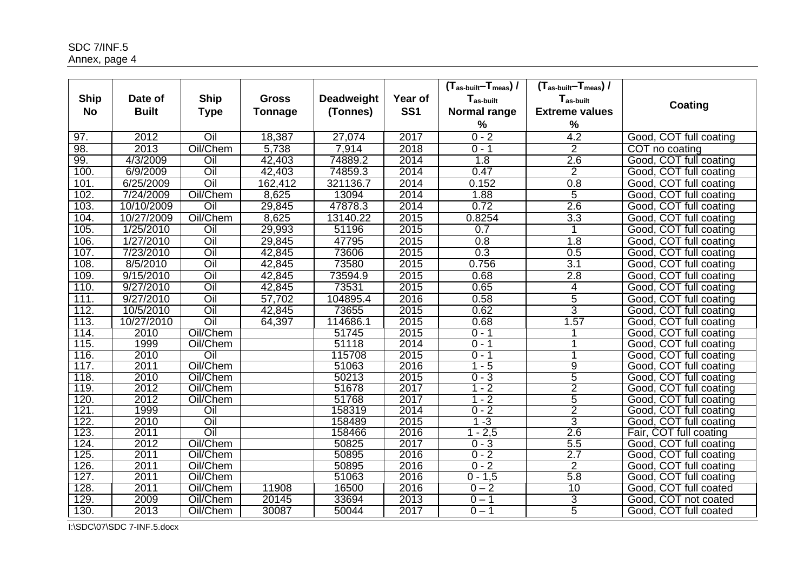| <b>Ship</b><br><b>No</b> | Date of<br><b>Built</b> | <b>Ship</b><br><b>Type</b> | <b>Gross</b><br><b>Tonnage</b> | <b>Deadweight</b><br>(Tonnes) | Year of<br>SS <sub>1</sub> | $(T_{\text{as-built}} - T_{\text{meas}})$ /<br>T <sub>as-built</sub><br><b>Normal range</b> | $(T_{\text{as-built}} - T_{\text{meas}})$ /<br>Tas-built<br><b>Extreme values</b> | Coating                |
|--------------------------|-------------------------|----------------------------|--------------------------------|-------------------------------|----------------------------|---------------------------------------------------------------------------------------------|-----------------------------------------------------------------------------------|------------------------|
|                          |                         |                            |                                |                               |                            | $\%$                                                                                        | $\%$                                                                              |                        |
| 97.                      | 2012                    | Oil                        | 18,387                         | 27,074                        | 2017                       | $0 - 2$                                                                                     | $\overline{4.2}$                                                                  | Good, COT full coating |
| 98.                      | 2013                    | Oil/Chem                   | 5,738                          | 7,914                         | 2018                       | $0 - 1$                                                                                     | $\overline{2}$                                                                    | COT no coating         |
| 99.                      | 4/3/2009                | Oil                        | 42,403                         | 74889.2                       | 2014                       | 1.8                                                                                         | 2.6                                                                               | Good, COT full coating |
| 100                      | 6/9/2009                | Oil                        | 42,403                         | 74859.3                       | 2014                       | 0.47                                                                                        | $\overline{2}$                                                                    | Good, COT full coating |
| 101.                     | 6/25/2009               | Oil                        | 162,412                        | 321136.7                      | 2014                       | 0.152                                                                                       | 0.8                                                                               | Good, COT full coating |
| 102.                     | 7/24/2009               | Oil/Chem                   | 8,625                          | 13094                         | 2014                       | 1.88                                                                                        | 5                                                                                 | Good, COT full coating |
| 103.                     | 10/10/2009              | Oil                        | 29,845                         | 47878.3                       | 2014                       | 0.72                                                                                        | 2.6                                                                               | Good, COT full coating |
| 104.                     | 10/27/2009              | Oil/Chem                   | 8,625                          | 13140.22                      | 2015                       | 0.8254                                                                                      | $\overline{3.3}$                                                                  | Good, COT full coating |
| 105                      | 1/25/2010               | Oil                        | 29,993                         | 51196                         | 2015                       | 0.7                                                                                         |                                                                                   | Good, COT full coating |
| 106.                     | 1/27/2010               | $\overline{O}$ il          | 29,845                         | 47795                         | 2015                       | 0.8                                                                                         | 1.8                                                                               | Good, COT full coating |
| 107.                     | 7/23/2010               | Oil                        | 42,845                         | 73606                         | 2015                       | 0.3                                                                                         | 0.5                                                                               | Good, COT full coating |
| 108.                     | 8/5/2010                | Oil                        | 42,845                         | 73580                         | 2015                       | 0.756                                                                                       | 3.1                                                                               | Good, COT full coating |
| 109                      | 9/15/2010               | Oil                        | 42,845                         | 73594.9                       | 2015                       | 0.68                                                                                        | 2.8                                                                               | Good, COT full coating |
| 110.                     | 9/27/2010               | Oil                        | 42,845                         | 73531                         | 2015                       | 0.65                                                                                        | $\overline{4}$                                                                    | Good, COT full coating |
| 111.                     | 9/27/2010               | Oil                        | 57,702                         | 104895.4                      | 2016                       | 0.58                                                                                        | 5                                                                                 | Good, COT full coating |
| 112.                     | 10/5/2010               | Oil                        | 42,845                         | 73655                         | 2015                       | 0.62                                                                                        | 3                                                                                 | Good, COT full coating |
| 113.                     | 10/27/2010              | Oil                        | 64,397                         | 114686.1                      | 2015                       | 0.68                                                                                        | 1.57                                                                              | Good, COT full coating |
| 114.                     | 2010                    | Oil/Chem                   |                                | 51745                         | 2015                       | $0 - 1$                                                                                     |                                                                                   | Good, COT full coating |
| 115.                     | 1999                    | Oil/Chem                   |                                | 51118                         | 2014                       | $0 - 1$                                                                                     |                                                                                   | Good, COT full coating |
| 116.                     | 2010                    | Oil                        |                                | 115708                        | 2015                       | $0 - 1$                                                                                     |                                                                                   | Good, COT full coating |
| 117.                     | 2011                    | Oil/Chem                   |                                | 51063                         | 2016                       | $1 - 5$                                                                                     | $\overline{9}$                                                                    | Good, COT full coating |
| 118.                     | 2010                    | Oil/Chem                   |                                | 50213                         | 2015                       | $0 - 3$                                                                                     | 5                                                                                 | Good, COT full coating |
| 119.                     | 2012                    | Oil/Chem                   |                                | 51678                         | 2017                       | $1 - 2$                                                                                     | $\overline{2}$                                                                    | Good, COT full coating |
| 120.                     | 2012                    | Oil/Chem                   |                                | 51768                         | 2017                       | $1 - 2$                                                                                     | 5                                                                                 | Good, COT full coating |
| 121.                     | 1999                    | Oil                        |                                | 158319                        | 2014                       | $0 - 2$                                                                                     | $\overline{2}$                                                                    | Good, COT full coating |
| 122.                     | 2010                    | Oil                        |                                | 158489                        | 2015                       | $-3$                                                                                        | 3                                                                                 | Good, COT full coating |
| 123.                     | 2011                    | Oil                        |                                | 158466                        | 2016                       | $1 - 2,5$                                                                                   | 2.6                                                                               | Fair, COT full coating |
| 124.                     | 2012                    | Oil/Chem                   |                                | 50825                         | 2017                       | $0 - 3$                                                                                     | 5.5                                                                               | Good, COT full coating |
| 125.                     | 2011                    | Oil/Chem                   |                                | 50895                         | 2016                       | $0 - 2$                                                                                     | 2.7                                                                               | Good, COT full coating |
| 126.                     | 2011                    | Oil/Chem                   |                                | 50895                         | 2016                       | $0 - 2$                                                                                     | $\overline{2}$                                                                    | Good, COT full coating |
| 127.                     | 2011                    | Oil/Chem                   |                                | 51063                         | 2016                       | $0 - 1,5$                                                                                   | 5.8                                                                               | Good, COT full coating |
| 128.                     | 2011                    | Oil/Chem                   | 11908                          | 16500                         | 2016                       | $0 - 2$                                                                                     | 10                                                                                | Good, COT full coated  |
| 129.                     | 2009                    | Oil/Chem                   | 20145                          | 33694                         | 2013                       | $0 - 1$                                                                                     | 3                                                                                 | Good, COT not coated   |
| 130.                     | 2013                    | Oil/Chem                   | 30087                          | 50044                         | 2017                       | $0 - 1$                                                                                     | $\overline{5}$                                                                    | Good, COT full coated  |

I:\SDC\07\SDC 7-INF.5.docx